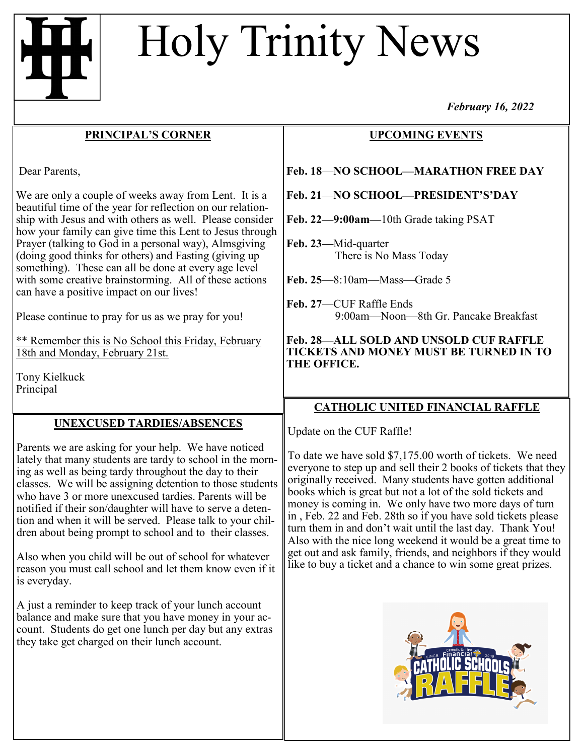# Holy Trinity News

#### **PRINCIPAL'S CORNER**

Dear Parents,

We are only a couple of weeks away from Lent. It is a beautiful time of the year for reflection on our relationship with Jesus and with others as well. Please consider how your family can give time this Lent to Jesus through Prayer (talking to God in a personal way), Almsgiving (doing good thinks for others) and Fasting (giving up something). These can all be done at every age level with some creative brainstorming. All of these actions can have a positive impact on our lives!

Please continue to pray for us as we pray for you!

\*\* Remember this is No School this Friday, February 18th and Monday, February 21st.

Tony Kielkuck Principal

## **UNEXCUSED TARDIES/ABSENCES**

Parents we are asking for your help. We have noticed lately that many students are tardy to school in the morning as well as being tardy throughout the day to their classes. We will be assigning detention to those students who have 3 or more unexcused tardies. Parents will be notified if their son/daughter will have to serve a detention and when it will be served. Please talk to your children about being prompt to school and to their classes.

Also when you child will be out of school for whatever reason you must call school and let them know even if it is everyday.

A just a reminder to keep track of your lunch account balance and make sure that you have money in your account. Students do get one lunch per day but any extras they take get charged on their lunch account.

*February 16, 2022*

## **UPCOMING EVENTS**

#### **Feb. 18**—**NO SCHOOL—MARATHON FREE DAY**

**Feb. 21**—**NO SCHOOL—PRESIDENT'S'DAY**

**Feb. 22—9:00am—**10th Grade taking PSAT

**Feb. 23—**Mid-quarter There is No Mass Today

**Feb. 25**—8:10am—Mass—Grade 5

**Feb. 27**—CUF Raffle Ends 9:00am—Noon—8th Gr. Pancake Breakfast

**Feb. 28—ALL SOLD AND UNSOLD CUF RAFFLE TICKETS AND MONEY MUST BE TURNED IN TO THE OFFICE.**

### **CATHOLIC UNITED FINANCIAL RAFFLE**

Update on the CUF Raffle!

To date we have sold \$7,175.00 worth of tickets. We need everyone to step up and sell their 2 books of tickets that they originally received. Many students have gotten additional books which is great but not a lot of the sold tickets and money is coming in. We only have two more days of turn in , Feb. 22 and Feb. 28th so if you have sold tickets please turn them in and don't wait until the last day. Thank You! Also with the nice long weekend it would be a great time to get out and ask family, friends, and neighbors if they would like to buy a ticket and a chance to win some great prizes.